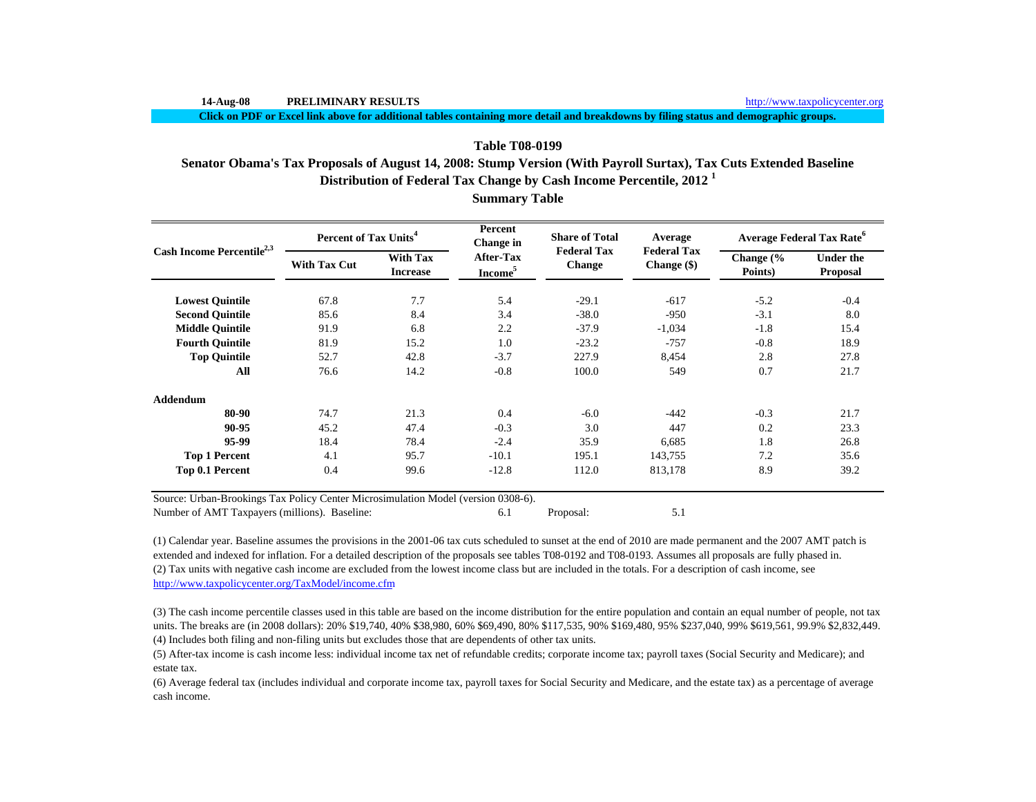**Click on PDF or Excel link above for additional tables containing more detail and breakdowns by filing status and demographic groups.**

# **Distribution of Federal Tax Change by Cash Income Percentile, 2012 <sup>1</sup> Table T08-0199Senator Obama's Tax Proposals of August 14, 2008: Stump Version (With Payroll Surtax), Tax Cuts Extended Baseline**

|                                       | Percent of Tax Units <sup>4</sup> |                                    | Percent<br>Change in                    | <b>Share of Total</b><br><b>Federal Tax</b> | Average                             | <b>Average Federal Tax Rate<sup>6</sup></b> |                                     |  |
|---------------------------------------|-----------------------------------|------------------------------------|-----------------------------------------|---------------------------------------------|-------------------------------------|---------------------------------------------|-------------------------------------|--|
| Cash Income Percentile <sup>2,3</sup> | <b>With Tax Cut</b>               | <b>With Tax</b><br><b>Increase</b> | <b>After-Tax</b><br>Income <sup>5</sup> | <b>Change</b>                               | <b>Federal Tax</b><br>Change $(\$)$ | Change (%<br>Points)                        | <b>Under the</b><br><b>Proposal</b> |  |
| <b>Lowest Quintile</b>                | 67.8                              | 7.7                                | 5.4                                     | $-29.1$                                     | $-617$                              | $-5.2$                                      | $-0.4$                              |  |
| <b>Second Quintile</b>                | 85.6                              | 8.4                                | 3.4                                     | $-38.0$                                     | $-950$                              | $-3.1$                                      | 8.0                                 |  |
| <b>Middle Ouintile</b>                | 91.9                              | 6.8                                | 2.2                                     | $-37.9$                                     | $-1,034$                            | $-1.8$                                      | 15.4                                |  |
| <b>Fourth Ouintile</b>                | 81.9                              | 15.2                               | 1.0                                     | $-23.2$                                     | $-757$                              | $-0.8$                                      | 18.9                                |  |
| <b>Top Quintile</b>                   | 52.7                              | 42.8                               | $-3.7$                                  | 227.9                                       | 8,454                               | 2.8                                         | 27.8                                |  |
| All                                   | 76.6                              | 14.2                               | $-0.8$                                  | 100.0                                       | 549                                 | 0.7                                         | 21.7                                |  |
| Addendum                              |                                   |                                    |                                         |                                             |                                     |                                             |                                     |  |
| 80-90                                 | 74.7                              | 21.3                               | 0.4                                     | $-6.0$                                      | $-442$                              | $-0.3$                                      | 21.7                                |  |
| 90-95                                 | 45.2                              | 47.4                               | $-0.3$                                  | 3.0                                         | 447                                 | 0.2                                         | 23.3                                |  |
| 95-99                                 | 18.4                              | 78.4                               | $-2.4$                                  | 35.9                                        | 6,685                               | 1.8                                         | 26.8                                |  |
| <b>Top 1 Percent</b>                  | 4.1                               | 95.7                               | $-10.1$                                 | 195.1                                       | 143,755                             | 7.2                                         | 35.6                                |  |
| Top 0.1 Percent                       | 0.4                               | 99.6                               | $-12.8$                                 | 112.0                                       | 813,178                             | 8.9                                         | 39.2                                |  |

**Summary Table**

Number of AMT Taxpayers (millions). Baseline: 6.1 Proposal: 5.1

(2) Tax units with negative cash income are excluded from the lowest income class but are included in the totals. For a description of cash income, see http://www.taxpolicycenter.org/TaxModel/income.cfm (1) Calendar year. Baseline assumes the provisions in the 2001-06 tax cuts scheduled to sunset at the end of 2010 are made permanent and the 2007 AMT patch is extended and indexed for inflation. For a detailed description of the proposals see tables T08-0192 and T08-0193. Assumes all proposals are fully phased in.

(4) Includes both filing and non-filing units but excludes those that are dependents of other tax units. (3) The cash income percentile classes used in this table are based on the income distribution for the entire population and contain an equal number of people, not tax units. The breaks are (in 2008 dollars): 20% \$19,740, 40% \$38,980, 60% \$69,490, 80% \$117,535, 90% \$169,480, 95% \$237,040, 99% \$619,561, 99.9% \$2,832,449.

(5) After-tax income is cash income less: individual income tax net of refundable credits; corporate income tax; payroll taxes (Social Security and Medicare); and estate tax.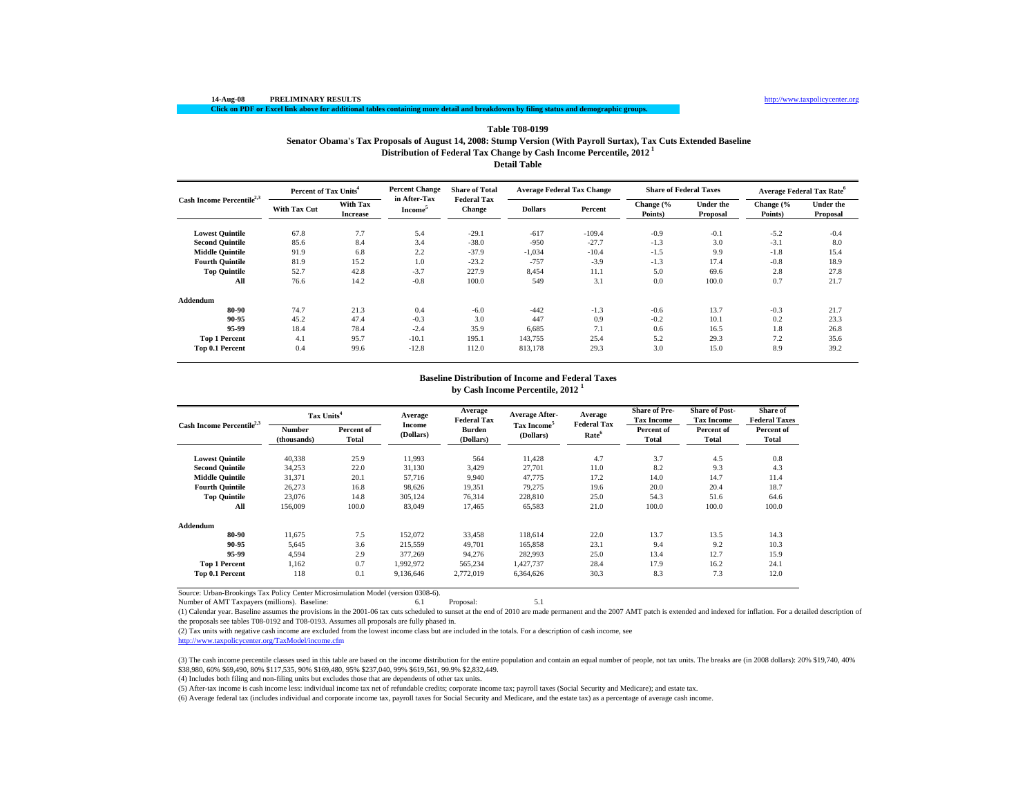# **Distribution of Federal Tax Change by Cash Income Percentile, 2012 1 Table T08-0199 Senator Obama's Tax Proposals of August 14, 2008: Stump Version (With Payroll Surtax), Tax Cuts Extended Baseline**

**Detail Table**

|                                       | Percent of Tax Units <sup>4</sup> |                                    | <b>Percent Change</b>               | <b>Share of Total</b>               | <b>Average Federal Tax Change</b> |          | <b>Share of Federal Taxes</b> |                              | <b>Average Federal Tax Rate<sup>6</sup></b> |                              |
|---------------------------------------|-----------------------------------|------------------------------------|-------------------------------------|-------------------------------------|-----------------------------------|----------|-------------------------------|------------------------------|---------------------------------------------|------------------------------|
| Cash Income Percentile <sup>2,3</sup> | <b>With Tax Cut</b>               | <b>With Tax</b><br><b>Increase</b> | in After-Tax<br>Income <sup>5</sup> | <b>Federal Tax</b><br><b>Change</b> | <b>Dollars</b>                    | Percent  | Change (%<br>Points)          | <b>Under the</b><br>Proposal | Change (%<br>Points)                        | <b>Under the</b><br>Proposal |
| <b>Lowest Quintile</b>                | 67.8                              | 7.7                                | 5.4                                 | $-29.1$                             | $-617$                            | $-109.4$ | $-0.9$                        | $-0.1$                       | $-5.2$                                      | $-0.4$                       |
| <b>Second Quintile</b>                | 85.6                              | 8.4                                | 3.4                                 | $-38.0$                             | $-950$                            | $-27.7$  | $-1.3$                        | 3.0                          | $-3.1$                                      | 8.0                          |
| <b>Middle Quintile</b>                | 91.9                              | 6.8                                | 2.2                                 | $-37.9$                             | $-1,034$                          | $-10.4$  | $-1.5$                        | 9.9                          | $-1.8$                                      | 15.4                         |
| <b>Fourth Ouintile</b>                | 81.9                              | 15.2                               | 1.0                                 | $-23.2$                             | $-757$                            | $-3.9$   | $-1.3$                        | 17.4                         | $-0.8$                                      | 18.9                         |
| <b>Top Quintile</b>                   | 52.7                              | 42.8                               | $-3.7$                              | 227.9                               | 8,454                             | 11.1     | 5.0                           | 69.6                         | 2.8                                         | 27.8                         |
| All                                   | 76.6                              | 14.2                               | $-0.8$                              | 100.0                               | 549                               | 3.1      | 0.0                           | 100.0                        | 0.7                                         | 21.7                         |
| Addendum                              |                                   |                                    |                                     |                                     |                                   |          |                               |                              |                                             |                              |
| 80-90                                 | 74.7                              | 21.3                               | 0.4                                 | $-6.0$                              | $-442$                            | $-1.3$   | $-0.6$                        | 13.7                         | $-0.3$                                      | 21.7                         |
| 90-95                                 | 45.2                              | 47.4                               | $-0.3$                              | 3.0                                 | 447                               | 0.9      | $-0.2$                        | 10.1                         | 0.2                                         | 23.3                         |
| 95-99                                 | 18.4                              | 78.4                               | $-2.4$                              | 35.9                                | 6,685                             | 7.1      | 0.6                           | 16.5                         | 1.8                                         | 26.8                         |
| <b>Top 1 Percent</b>                  | 4.1                               | 95.7                               | $-10.1$                             | 195.1                               | 143,755                           | 25.4     | 5.2                           | 29.3                         | 7.2                                         | 35.6                         |
| Top 0.1 Percent                       | 0.4                               | 99.6                               | $-12.8$                             | 112.0                               | 813,178                           | 29.3     | 3.0                           | 15.0                         | 8.9                                         | 39.2                         |

#### **Baseline Distribution of Income and Federal Taxes**

**by Cash Income Percentile, 2012 <sup>1</sup>**

| Cash Income Percentile <sup>2,3</sup> | Tax Units <sup>4</sup> |                     | Average             | Average<br><b>Federal Tax</b> | Average After-                       | Average<br><b>Federal Tax</b> | <b>Share of Pre-</b><br><b>Tax Income</b> | <b>Share of Post-</b><br><b>Tax Income</b> | Share of<br><b>Federal Taxes</b> |
|---------------------------------------|------------------------|---------------------|---------------------|-------------------------------|--------------------------------------|-------------------------------|-------------------------------------------|--------------------------------------------|----------------------------------|
|                                       | Number<br>(thousands)  | Percent of<br>Total | Income<br>(Dollars) | Burden<br>(Dollars)           | Tax Income <sup>5</sup><br>(Dollars) | Rate <sup>6</sup>             | Percent of<br>Total                       | Percent of<br>Total                        | Percent of<br>Total              |
| <b>Lowest Quintile</b>                | 40,338                 | 25.9                | 11,993              | 564                           | 11,428                               | 4.7                           | 3.7                                       | 4.5                                        | 0.8                              |
| <b>Second Ouintile</b>                | 34,253                 | 22.0                | 31,130              | 3,429                         | 27.701                               | 11.0                          | 8.2                                       | 9.3                                        | 4.3                              |
| <b>Middle Quintile</b>                | 31,371                 | 20.1                | 57,716              | 9.940                         | 47,775                               | 17.2                          | 14.0                                      | 14.7                                       | 11.4                             |
| <b>Fourth Ouintile</b>                | 26,273                 | 16.8                | 98.626              | 19.351                        | 79.275                               | 19.6                          | 20.0                                      | 20.4                                       | 18.7                             |
| <b>Top Quintile</b>                   | 23,076                 | 14.8                | 305,124             | 76,314                        | 228,810                              | 25.0                          | 54.3                                      | 51.6                                       | 64.6                             |
| All                                   | 156,009                | 100.0               | 83,049              | 17,465                        | 65,583                               | 21.0                          | 100.0                                     | 100.0                                      | 100.0                            |
| Addendum                              |                        |                     |                     |                               |                                      |                               |                                           |                                            |                                  |
| 80-90                                 | 11,675                 | 7.5                 | 152,072             | 33,458                        | 118,614                              | 22.0                          | 13.7                                      | 13.5                                       | 14.3                             |
| 90-95                                 | 5,645                  | 3.6                 | 215,559             | 49,701                        | 165,858                              | 23.1                          | 9.4                                       | 9.2                                        | 10.3                             |
| 95-99                                 | 4,594                  | 2.9                 | 377,269             | 94,276                        | 282,993                              | 25.0                          | 13.4                                      | 12.7                                       | 15.9                             |
| <b>Top 1 Percent</b>                  | 1.162                  | 0.7                 | 1,992,972           | 565,234                       | 1.427.737                            | 28.4                          | 17.9                                      | 16.2                                       | 24.1                             |
| Top 0.1 Percent                       | 118                    | 0.1                 | 9,136,646           | 2,772,019                     | 6,364,626                            | 30.3                          | 8.3                                       | 7.3                                        | 12.0                             |

Source: Urban-Brookings Tax Policy Center Microsimulation Model (version 0308-6).

Number of AMT Taxpayers (millions). Baseline: 6.1 Proposal: 5.1

(1) Calendar year. Baseline assumes the provisions in the 2001-06 tax cuts scheduled to sunset at the end of 2010 are made permanent and the 2007 AMT patch is extended and indexed for inflation. For a detailed description of the proposals see tables T08-0192 and T08-0193. Assumes all proposals are fully phased in.

(2) Tax units with negative cash income are excluded from the lowest income class but are included in the totals. For a description of cash income, see

http://www.taxpolicycenter.org/TaxModel/income.cfm

(3) The cash income percentile classes used in this table are based on the income distribution for the entire population and contain an equal number of people, not tax units. The breaks are (in 2008 dollars): 20% \$19,740, \$38,980, 60% \$69,490, 80% \$117,535, 90% \$169,480, 95% \$237,040, 99% \$619,561, 99.9% \$2,832,449.

(4) Includes both filing and non-filing units but excludes those that are dependents of other tax units.

(5) After-tax income is cash income less: individual income tax net of refundable credits; corporate income tax; payroll taxes (Social Security and Medicare); and estate tax.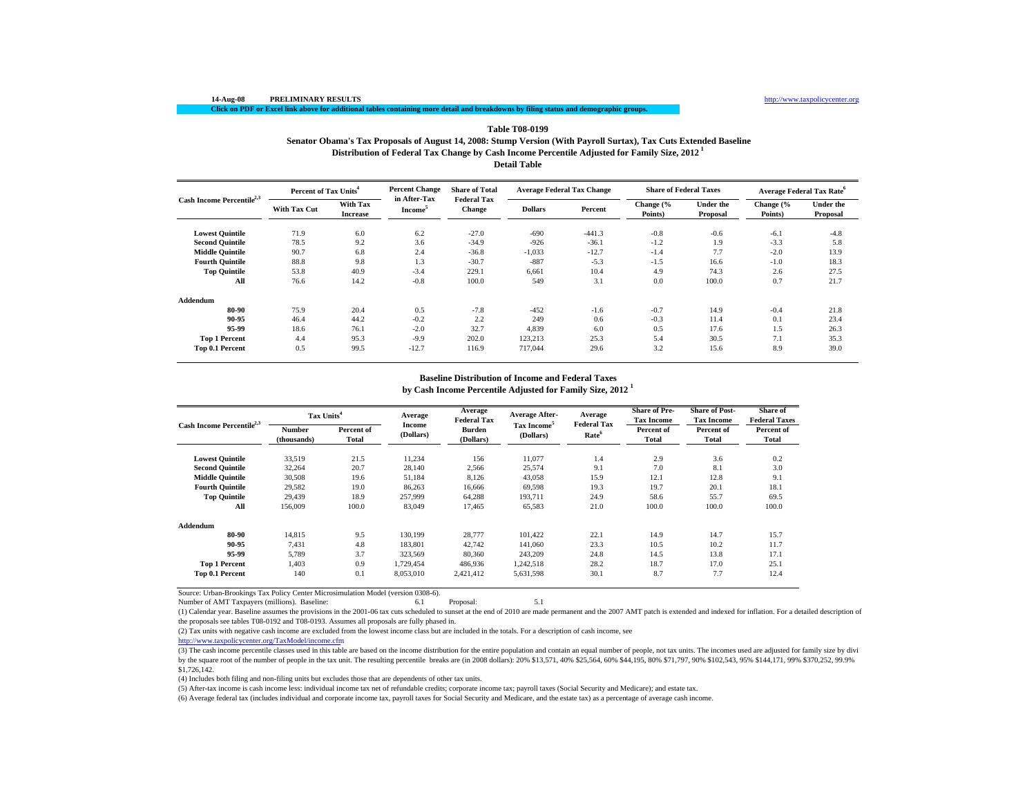### **14-Aug-08 PRELIMINARY RESULTS** http://www.taxpolicycenter.org

# **Click on PDF or Excel link above for additional tables containing more detail and breakdowns by filing status and demographic groups.**

# **Distribution of Federal Tax Change by Cash Income Percentile Adjusted for Family Size, 2012 1 Detail Table Table T08-0199Senator Obama's Tax Proposals of August 14, 2008: Stump Version (With Payroll Surtax), Tax Cuts Extended Baseline**

|                                       | Percent of Tax Units <sup>4</sup> |                                    | <b>Percent Change</b>               | <b>Share of Total</b>               | <b>Average Federal Tax Change</b> |          | <b>Share of Federal Taxes</b> |                              |                      | <b>Average Federal Tax Rate<sup>6</sup></b> |
|---------------------------------------|-----------------------------------|------------------------------------|-------------------------------------|-------------------------------------|-----------------------------------|----------|-------------------------------|------------------------------|----------------------|---------------------------------------------|
| Cash Income Percentile <sup>2,3</sup> | <b>With Tax Cut</b>               | <b>With Tax</b><br><b>Increase</b> | in After-Tax<br>Income <sup>5</sup> | <b>Federal Tax</b><br><b>Change</b> | <b>Dollars</b>                    | Percent  | Change (%<br>Points)          | <b>Under the</b><br>Proposal | Change (%<br>Points) | <b>Under the</b><br>Proposal                |
| <b>Lowest Quintile</b>                | 71.9                              | 6.0                                | 6.2                                 | $-27.0$                             | $-690$                            | $-441.3$ | $-0.8$                        | $-0.6$                       | $-6.1$               | $-4.8$                                      |
| <b>Second Quintile</b>                | 78.5                              | 9.2                                | 3.6                                 | $-34.9$                             | $-926$                            | $-36.1$  | $-1.2$                        | 1.9                          | $-3.3$               | 5.8                                         |
| <b>Middle Quintile</b>                | 90.7                              | 6.8                                | 2.4                                 | $-36.8$                             | $-1,033$                          | $-12.7$  | $-1.4$                        | 7.7                          | $-2.0$               | 13.9                                        |
| <b>Fourth Ouintile</b>                | 88.8                              | 9.8                                | 1.3                                 | $-30.7$                             | $-887$                            | $-5.3$   | $-1.5$                        | 16.6                         | $-1.0$               | 18.3                                        |
| <b>Top Quintile</b>                   | 53.8                              | 40.9                               | $-3.4$                              | 229.1                               | 6.661                             | 10.4     | 4.9                           | 74.3                         | 2.6                  | 27.5                                        |
| All                                   | 76.6                              | 14.2                               | $-0.8$                              | 100.0                               | 549                               | 3.1      | 0.0                           | 100.0                        | 0.7                  | 21.7                                        |
| Addendum                              |                                   |                                    |                                     |                                     |                                   |          |                               |                              |                      |                                             |
| 80-90                                 | 75.9                              | 20.4                               | 0.5                                 | $-7.8$                              | $-452$                            | $-1.6$   | $-0.7$                        | 14.9                         | $-0.4$               | 21.8                                        |
| 90-95                                 | 46.4                              | 44.2                               | $-0.2$                              | 2.2                                 | 249                               | 0.6      | $-0.3$                        | 11.4                         | 0.1                  | 23.4                                        |
| 95-99                                 | 18.6                              | 76.1                               | $-2.0$                              | 32.7                                | 4,839                             | 6.0      | 0.5                           | 17.6                         | 1.5                  | 26.3                                        |
| <b>Top 1 Percent</b>                  | 4.4                               | 95.3                               | $-9.9$                              | 202.0                               | 123,213                           | 25.3     | 5.4                           | 30.5                         | 7.1                  | 35.3                                        |
| Top 0.1 Percent                       | 0.5                               | 99.5                               | $-12.7$                             | 116.9                               | 717,044                           | 29.6     | 3.2                           | 15.6                         | 8.9                  | 39.0                                        |

# **Baseline Distribution of Income and Federal Taxes**

**by Cash Income Percentile Adjusted for Family Size, 2012 <sup>1</sup>**

| Cash Income Percentile <sup>2,3</sup> |                       | Tax Units <sup>4</sup> |                     | Average<br><b>Federal Tax</b> | <b>Average After-</b>                | Average<br><b>Federal Tax</b> | <b>Share of Pre-</b><br><b>Tax Income</b> | <b>Share of Post-</b><br><b>Tax Income</b> | Share of<br><b>Federal Taxes</b> |
|---------------------------------------|-----------------------|------------------------|---------------------|-------------------------------|--------------------------------------|-------------------------------|-------------------------------------------|--------------------------------------------|----------------------------------|
|                                       | Number<br>(thousands) | Percent of<br>Total    | Income<br>(Dollars) | <b>Burden</b><br>(Dollars)    | Tax Income <sup>5</sup><br>(Dollars) | Rate <sup>6</sup>             | Percent of<br>Total                       | Percent of<br>Total                        | Percent of<br>Total              |
| <b>Lowest Quintile</b>                | 33,519                | 21.5                   | 11,234              | 156                           | 11,077                               | 1.4                           | 2.9                                       | 3.6                                        | 0.2                              |
| <b>Second Quintile</b>                | 32,264                | 20.7                   | 28,140              | 2,566                         | 25,574                               | 9.1                           | 7.0                                       | 8.1                                        | 3.0                              |
| <b>Middle Quintile</b>                | 30,508                | 19.6                   | 51,184              | 8,126                         | 43,058                               | 15.9                          | 12.1                                      | 12.8                                       | 9.1                              |
| <b>Fourth Ouintile</b>                | 29,582                | 19.0                   | 86,263              | 16.666                        | 69,598                               | 19.3                          | 19.7                                      | 20.1                                       | 18.1                             |
| <b>Top Quintile</b>                   | 29.439                | 18.9                   | 257,999             | 64.288                        | 193,711                              | 24.9                          | 58.6                                      | 55.7                                       | 69.5                             |
| All                                   | 156,009               | 100.0                  | 83,049              | 17.465                        | 65,583                               | 21.0                          | 100.0                                     | 100.0                                      | 100.0                            |
| Addendum                              |                       |                        |                     |                               |                                      |                               |                                           |                                            |                                  |
| 80-90                                 | 14.815                | 9.5                    | 130.199             | 28,777                        | 101.422                              | 22.1                          | 14.9                                      | 14.7                                       | 15.7                             |
| 90-95                                 | 7.431                 | 4.8                    | 183.801             | 42,742                        | 141.060                              | 23.3                          | 10.5                                      | 10.2                                       | 11.7                             |
| 95-99                                 | 5,789                 | 3.7                    | 323,569             | 80,360                        | 243,209                              | 24.8                          | 14.5                                      | 13.8                                       | 17.1                             |
| <b>Top 1 Percent</b>                  | 1.403                 | 0.9                    | 1.729.454           | 486,936                       | 1,242,518                            | 28.2                          | 18.7                                      | 17.0                                       | 25.1                             |
| Top 0.1 Percent                       | 140                   | 0.1                    | 8,053,010           | 2,421,412                     | 5,631,598                            | 30.1                          | 8.7                                       | 7.7                                        | 12.4                             |

Source: Urban-Brookings Tax Policy Center Microsimulation Model (version 0308-6).

Number of AMT Taxpayers (millions). Baseline: 6.1 Proposal: 5.1

(1) Calendar year. Baseline assumes the provisions in the 2001-06 tax cuts scheduled to sunset at the end of 2010 are made permanent and the 2007 AMT patch is extended and indexed for inflation. For a detailed description of the proposals see tables T08-0192 and T08-0193. Assumes all proposals are fully phased in.

(2) Tax units with negative cash income are excluded from the lowest income class but are included in the totals. For a description of cash income, see

http://www.taxpolicycenter.org/TaxModel/income.cfm

(3) The cash income percentile classes used in this table are based on the income distribution for the entire population and contain an equal number of people, not tax units. The incomes used are adjusted for family size b by the square root of the number of people in the tax unit. The resulting percentile breaks are (in 2008 dollars): 20% \$13,571, 40% \$25,564, 60% \$44,195, 80% \$71,797, 90% \$102,543, 95% \$144,171, 99% \$370,252, 99.9% \$1,726,142.

(4) Includes both filing and non-filing units but excludes those that are dependents of other tax units.

(5) After-tax income is cash income less: individual income tax net of refundable credits; corporate income tax; payroll taxes (Social Security and Medicare); and estate tax.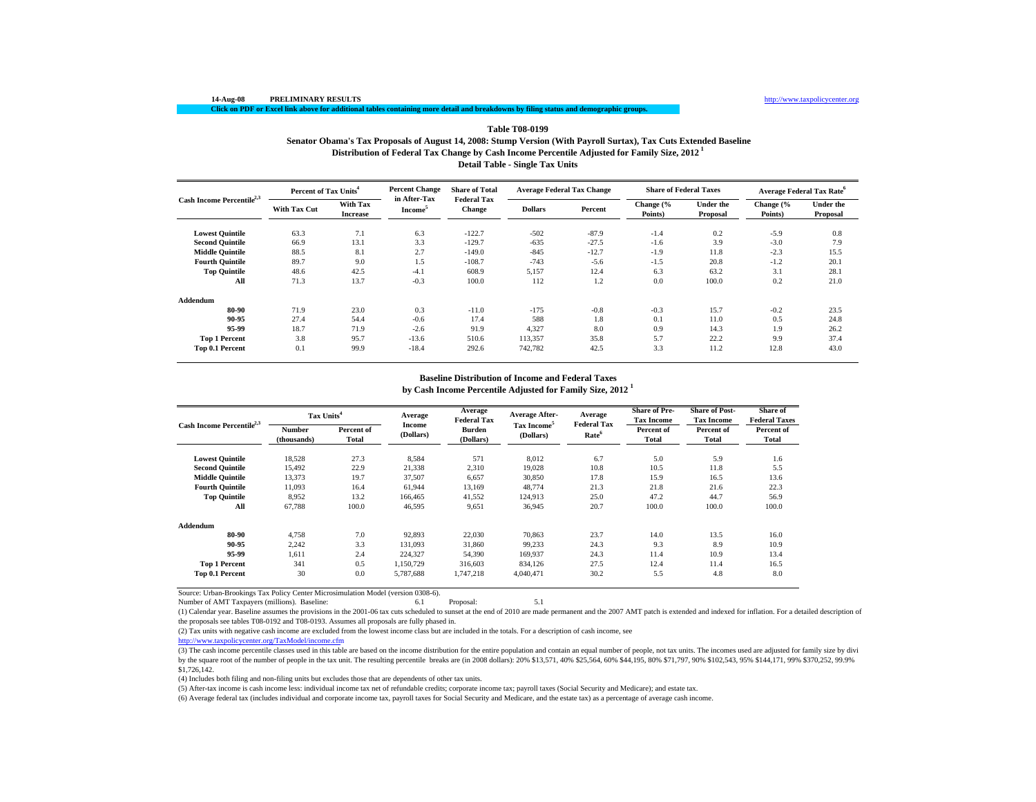## **Distribution of Federal Tax Change by Cash Income Percentile Adjusted for Family Size, 2012 1 Detail Table - Single Tax Units Table T08-0199Senator Obama's Tax Proposals of August 14, 2008: Stump Version (With Payroll Surtax), Tax Cuts Extended Baseline**

|                                       | Percent of Tax Units <sup>4</sup> |                                    | <b>Percent Change</b>               | <b>Share of Total</b>               | <b>Average Federal Tax Change</b> |         | <b>Share of Federal Taxes</b> |                              | Average Federal Tax Rate <sup>6</sup> |                              |
|---------------------------------------|-----------------------------------|------------------------------------|-------------------------------------|-------------------------------------|-----------------------------------|---------|-------------------------------|------------------------------|---------------------------------------|------------------------------|
| Cash Income Percentile <sup>2,3</sup> | <b>With Tax Cut</b>               | <b>With Tax</b><br><b>Increase</b> | in After-Tax<br>Income <sup>5</sup> | <b>Federal Tax</b><br><b>Change</b> | <b>Dollars</b>                    | Percent | Change (%<br>Points)          | <b>Under the</b><br>Proposal | Change (%<br>Points)                  | <b>Under the</b><br>Proposal |
| <b>Lowest Quintile</b>                | 63.3                              | 7.1                                | 6.3                                 | $-122.7$                            | $-502$                            | $-87.9$ | $-1.4$                        | 0.2                          | $-5.9$                                | 0.8                          |
| <b>Second Ouintile</b>                | 66.9                              | 13.1                               | 3.3                                 | $-129.7$                            | $-635$                            | $-27.5$ | $-1.6$                        | 3.9                          | $-3.0$                                | 7.9                          |
| <b>Middle Ouintile</b>                | 88.5                              | 8.1                                | 2.7                                 | $-149.0$                            | $-845$                            | $-12.7$ | $-1.9$                        | 11.8                         | $-2.3$                                | 15.5                         |
| <b>Fourth Ouintile</b>                | 89.7                              | 9.0                                | 1.5                                 | $-108.7$                            | $-743$                            | $-5.6$  | $-1.5$                        | 20.8                         | $-1.2$                                | 20.1                         |
| <b>Top Quintile</b>                   | 48.6                              | 42.5                               | $-4.1$                              | 608.9                               | 5,157                             | 12.4    | 6.3                           | 63.2                         | 3.1                                   | 28.1                         |
| All                                   | 71.3                              | 13.7                               | $-0.3$                              | 100.0                               | 112                               | 1.2     | 0.0                           | 100.0                        | 0.2                                   | 21.0                         |
| Addendum                              |                                   |                                    |                                     |                                     |                                   |         |                               |                              |                                       |                              |
| 80-90                                 | 71.9                              | 23.0                               | 0.3                                 | $-11.0$                             | $-175$                            | $-0.8$  | $-0.3$                        | 15.7                         | $-0.2$                                | 23.5                         |
| 90-95                                 | 27.4                              | 54.4                               | $-0.6$                              | 17.4                                | 588                               | 1.8     | 0.1                           | 11.0                         | 0.5                                   | 24.8                         |
| 95-99                                 | 18.7                              | 71.9                               | $-2.6$                              | 91.9                                | 4,327                             | 8.0     | 0.9                           | 14.3                         | 1.9                                   | 26.2                         |
| <b>Top 1 Percent</b>                  | 3.8                               | 95.7                               | $-13.6$                             | 510.6                               | 113,357                           | 35.8    | 5.7                           | 22.2                         | 9.9                                   | 37.4                         |
| Top 0.1 Percent                       | 0.1                               | 99.9                               | $-18.4$                             | 292.6                               | 742.782                           | 42.5    | 3.3                           | 11.2                         | 12.8                                  | 43.0                         |

# **Baseline Distribution of Income and Federal Taxes**

**by Cash Income Percentile Adjusted for Family Size, 2012 <sup>1</sup>**

| Cash Income Percentile <sup>2,3</sup> |                       | Tax Units <sup>4</sup> |                     | Average<br><b>Federal Tax</b> | <b>Average After-</b>                | Average<br><b>Federal Tax</b> | <b>Share of Pre-</b><br><b>Tax Income</b> | <b>Share of Post-</b><br><b>Tax Income</b> | Share of<br><b>Federal Taxes</b> |
|---------------------------------------|-----------------------|------------------------|---------------------|-------------------------------|--------------------------------------|-------------------------------|-------------------------------------------|--------------------------------------------|----------------------------------|
|                                       | Number<br>(thousands) | Percent of<br>Total    | Income<br>(Dollars) | Burden<br>(Dollars)           | Tax Income <sup>5</sup><br>(Dollars) | Rate <sup>6</sup>             | Percent of<br>Total                       | Percent of<br>Total                        | Percent of<br>Total              |
| <b>Lowest Quintile</b>                | 18,528                | 27.3                   | 8,584               | 571                           | 8,012                                | 6.7                           | 5.0                                       | 5.9                                        | 1.6                              |
| <b>Second Quintile</b>                | 15,492                | 22.9                   | 21,338              | 2,310                         | 19.028                               | 10.8                          | 10.5                                      | 11.8                                       | 5.5                              |
| <b>Middle Quintile</b>                | 13,373                | 19.7                   | 37,507              | 6,657                         | 30,850                               | 17.8                          | 15.9                                      | 16.5                                       | 13.6                             |
| <b>Fourth Quintile</b>                | 11.093                | 16.4                   | 61,944              | 13,169                        | 48,774                               | 21.3                          | 21.8                                      | 21.6                                       | 22.3                             |
| <b>Top Quintile</b>                   | 8,952                 | 13.2                   | 166,465             | 41,552                        | 124,913                              | 25.0                          | 47.2                                      | 44.7                                       | 56.9                             |
| All                                   | 67,788                | 100.0                  | 46,595              | 9,651                         | 36,945                               | 20.7                          | 100.0                                     | 100.0                                      | 100.0                            |
| Addendum                              |                       |                        |                     |                               |                                      |                               |                                           |                                            |                                  |
| 80-90                                 | 4.758                 | 7.0                    | 92,893              | 22,030                        | 70.863                               | 23.7                          | 14.0                                      | 13.5                                       | 16.0                             |
| 90-95                                 | 2,242                 | 3.3                    | 131,093             | 31,860                        | 99,233                               | 24.3                          | 9.3                                       | 8.9                                        | 10.9                             |
| 95-99                                 | 1.611                 | 2.4                    | 224,327             | 54,390                        | 169,937                              | 24.3                          | 11.4                                      | 10.9                                       | 13.4                             |
| <b>Top 1 Percent</b>                  | 341                   | 0.5                    | 1.150.729           | 316,603                       | 834.126                              | 27.5                          | 12.4                                      | 11.4                                       | 16.5                             |
| Top 0.1 Percent                       | 30                    | 0.0                    | 5,787,688           | 1,747,218                     | 4,040,471                            | 30.2                          | 5.5                                       | 4.8                                        | 8.0                              |

Source: Urban-Brookings Tax Policy Center Microsimulation Model (version 0308-6).

Number of AMT Taxpayers (millions). Baseline: 6.1 Proposal: 5.1

(1) Calendar year. Baseline assumes the provisions in the 2001-06 tax cuts scheduled to sunset at the end of 2010 are made permanent and the 2007 AMT patch is extended and indexed for inflation. For a detailed description of the proposals see tables T08-0192 and T08-0193. Assumes all proposals are fully phased in.

(2) Tax units with negative cash income are excluded from the lowest income class but are included in the totals. For a description of cash income, see

http://www.taxpolicycenter.org/TaxModel/income.cfm

(3) The cash income percentile classes used in this table are based on the income distribution for the entire population and contain an equal number of people, not tax units. The incomes used are adjusted for family size b by the square root of the number of people in the tax unit. The resulting percentile breaks are (in 2008 dollars): 20% \$13,571, 40% \$25,564, 60% \$44,195, 80% \$71,797, 90% \$102,543, 95% \$144,171, 99% \$370,252, 99.9% \$1,726,142.

(4) Includes both filing and non-filing units but excludes those that are dependents of other tax units.

(5) After-tax income is cash income less: individual income tax net of refundable credits; corporate income tax; payroll taxes (Social Security and Medicare); and estate tax.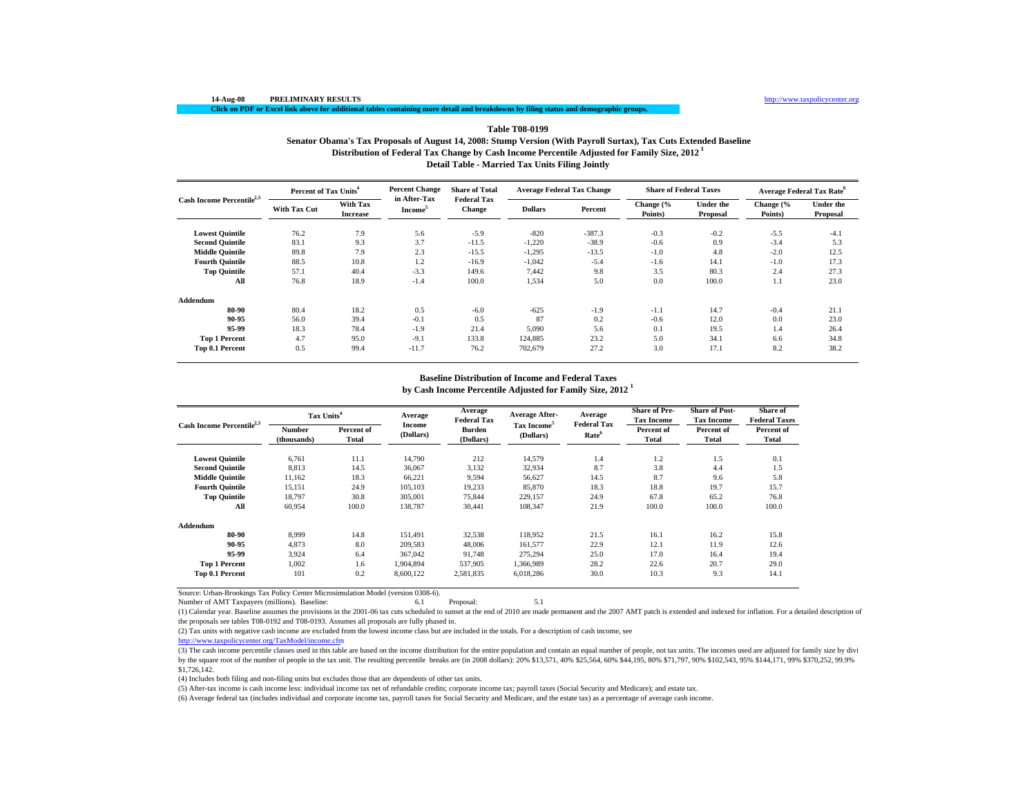# **Table T08-0199**

**Distribution of Federal Tax Change by Cash Income Percentile Adjusted for Family Size, 2012 1 Senator Obama's Tax Proposals of August 14, 2008: Stump Version (With Payroll Surtax), Tax Cuts Extended Baseline**

**Detail Table - Married Tax Units Filing Jointly**

| Cash Income Percentile <sup>2,3</sup> | Percent of Tax Units <sup>4</sup> |                                    | <b>Percent Change</b>                      | <b>Share of Total</b>               | <b>Average Federal Tax Change</b> |          | <b>Share of Federal Taxes</b> |                       | <b>Average Federal Tax Rate<sup>6</sup></b> |                              |
|---------------------------------------|-----------------------------------|------------------------------------|--------------------------------------------|-------------------------------------|-----------------------------------|----------|-------------------------------|-----------------------|---------------------------------------------|------------------------------|
|                                       | <b>With Tax Cut</b>               | <b>With Tax</b><br><b>Increase</b> | in After-Tax<br><b>Income</b> <sup>5</sup> | <b>Federal Tax</b><br><b>Change</b> | <b>Dollars</b>                    | Percent  | Change (%<br>Points)          | Under the<br>Proposal | Change (%<br>Points)                        | <b>Under the</b><br>Proposal |
| <b>Lowest Quintile</b>                | 76.2                              | 7.9                                | 5.6                                        | $-5.9$                              | $-820$                            | $-387.3$ | $-0.3$                        | $-0.2$                | $-5.5$                                      | $-4.1$                       |
| <b>Second Quintile</b>                | 83.1                              | 9.3                                | 3.7                                        | $-11.5$                             | $-1,220$                          | $-38.9$  | $-0.6$                        | 0.9                   | $-3.4$                                      | 5.3                          |
| <b>Middle Quintile</b>                | 89.8                              | 7.9                                | 2.3                                        | $-15.5$                             | $-1,295$                          | $-13.5$  | $-1.0$                        | 4.8                   | $-2.0$                                      | 12.5                         |
| <b>Fourth Quintile</b>                | 88.5                              | 10.8                               | 1.2                                        | $-16.9$                             | $-1,042$                          | $-5.4$   | $-1.6$                        | 14.1                  | $-1.0$                                      | 17.3                         |
| <b>Top Quintile</b>                   | 57.1                              | 40.4                               | $-3.3$                                     | 149.6                               | 7.442                             | 9.8      | 3.5                           | 80.3                  | 2.4                                         | 27.3                         |
| All                                   | 76.8                              | 18.9                               | $-1.4$                                     | 100.0                               | 1,534                             | 5.0      | 0.0                           | 100.0                 | 1.1                                         | 23.0                         |
| Addendum                              |                                   |                                    |                                            |                                     |                                   |          |                               |                       |                                             |                              |
| 80-90                                 | 80.4                              | 18.2                               | 0.5                                        | $-6.0$                              | $-625$                            | $-1.9$   | $-1.1$                        | 14.7                  | $-0.4$                                      | 21.1                         |
| 90-95                                 | 56.0                              | 39.4                               | $-0.1$                                     | 0.5                                 | 87                                | 0.2      | $-0.6$                        | 12.0                  | 0.0                                         | 23.0                         |
| 95-99                                 | 18.3                              | 78.4                               | $-1.9$                                     | 21.4                                | 5,090                             | 5.6      | 0.1                           | 19.5                  | 1.4                                         | 26.4                         |
| <b>Top 1 Percent</b>                  | 4.7                               | 95.0                               | $-9.1$                                     | 133.8                               | 124,885                           | 23.2     | 5.0                           | 34.1                  | 6.6                                         | 34.8                         |
| Top 0.1 Percent                       | 0.5                               | 99.4                               | $-11.7$                                    | 76.2                                | 702,679                           | 27.2     | 3.0                           | 17.1                  | 8.2                                         | 38.2                         |

# **Baseline Distribution of Income and Federal Taxes**

**by Cash Income Percentile Adjusted for Family Size, 2012 <sup>1</sup>**

| Cash Income Percentile <sup>2,3</sup> |                       | Tax Units <sup>4</sup> |                     | Average<br><b>Federal Tax</b> | <b>Average After-</b>                | Average<br><b>Federal Tax</b> | <b>Share of Pre-</b><br><b>Tax Income</b> | <b>Share of Post-</b><br><b>Tax Income</b> | Share of<br><b>Federal Taxes</b> |
|---------------------------------------|-----------------------|------------------------|---------------------|-------------------------------|--------------------------------------|-------------------------------|-------------------------------------------|--------------------------------------------|----------------------------------|
|                                       | Number<br>(thousands) | Percent of<br>Total    | Income<br>(Dollars) | <b>Burden</b><br>(Dollars)    | Tax Income <sup>5</sup><br>(Dollars) | Rate <sup>6</sup>             | Percent of<br>Total                       | Percent of<br>Total                        | Percent of<br>Total              |
| <b>Lowest Quintile</b>                | 6,761                 | 11.1                   | 14,790              | 212                           | 14,579                               | 1.4                           | 1.2                                       | 1.5                                        | 0.1                              |
| <b>Second Quintile</b>                | 8,813                 | 14.5                   | 36,067              | 3,132                         | 32,934                               | 8.7                           | 3.8                                       | 4.4                                        | 1.5                              |
| <b>Middle Quintile</b>                | 11,162                | 18.3                   | 66,221              | 9,594                         | 56,627                               | 14.5                          | 8.7                                       | 9.6                                        | 5.8                              |
| <b>Fourth Ouintile</b>                | 15,151                | 24.9                   | 105,103             | 19,233                        | 85,870                               | 18.3                          | 18.8                                      | 19.7                                       | 15.7                             |
| <b>Top Quintile</b>                   | 18.797                | 30.8                   | 305,001             | 75.844                        | 229.157                              | 24.9                          | 67.8                                      | 65.2                                       | 76.8                             |
| All                                   | 60,954                | 100.0                  | 138,787             | 30.441                        | 108,347                              | 21.9                          | 100.0                                     | 100.0                                      | 100.0                            |
| Addendum                              |                       |                        |                     |                               |                                      |                               |                                           |                                            |                                  |
| 80-90                                 | 8.999                 | 14.8                   | 151.491             | 32.538                        | 118,952                              | 21.5                          | 16.1                                      | 16.2                                       | 15.8                             |
| 90-95                                 | 4.873                 | 8.0                    | 209,583             | 48,006                        | 161.577                              | 22.9                          | 12.1                                      | 11.9                                       | 12.6                             |
| 95-99                                 | 3,924                 | 6.4                    | 367,042             | 91,748                        | 275,294                              | 25.0                          | 17.0                                      | 16.4                                       | 19.4                             |
| <b>Top 1 Percent</b>                  | 1.002                 | 1.6                    | 1,904,894           | 537,905                       | 1,366,989                            | 28.2                          | 22.6                                      | 20.7                                       | 29.0                             |
| Top 0.1 Percent                       | 101                   | 0.2                    | 8,600,122           | 2,581,835                     | 6,018,286                            | 30.0                          | 10.3                                      | 9.3                                        | 14.1                             |

Source: Urban-Brookings Tax Policy Center Microsimulation Model (version 0308-6).

Number of AMT Taxpayers (millions). Baseline: 6.1 Proposal: 5.1

(1) Calendar year. Baseline assumes the provisions in the 2001-06 tax cuts scheduled to sunset at the end of 2010 are made permanent and the 2007 AMT patch is extended and indexed for inflation. For a detailed description of the proposals see tables T08-0192 and T08-0193. Assumes all proposals are fully phased in.

(2) Tax units with negative cash income are excluded from the lowest income class but are included in the totals. For a description of cash income, see

http://www.taxpolicycenter.org/TaxModel/income.cfm

(3) The cash income percentile classes used in this table are based on the income distribution for the entire population and contain an equal number of people, not tax units. The incomes used are adjusted for family size b by the square root of the number of people in the tax unit. The resulting percentile breaks are (in 2008 dollars): 20% \$13,571, 40% \$25,564, 60% \$44,195, 80% \$71,797, 90% \$102,543, 95% \$144,171, 99% \$370,252, 99.9% \$1,726,142.

(4) Includes both filing and non-filing units but excludes those that are dependents of other tax units.

(5) After-tax income is cash income less: individual income tax net of refundable credits; corporate income tax; payroll taxes (Social Security and Medicare); and estate tax.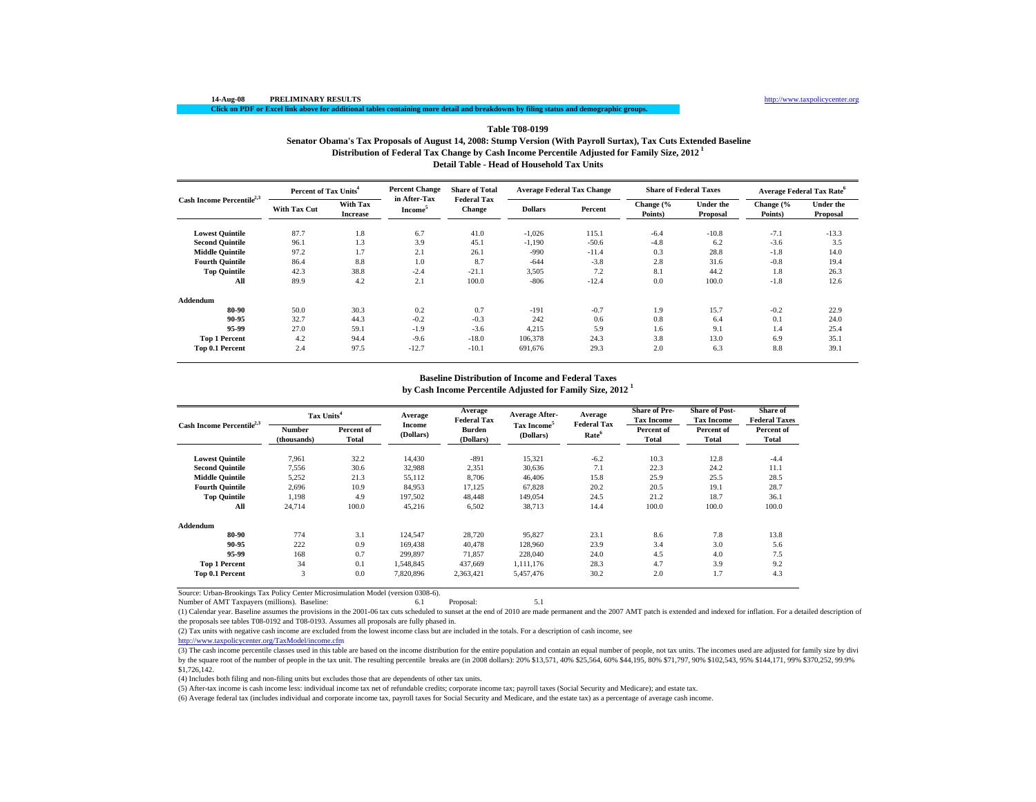### **14-Aug-08 PRELIMINARY RESULTS** http://www.taxpolicycenter.org

# **Click on PDF or Excel link above for additional tables containing more detail and breakdowns by filing status and demographic groups.**

# **Distribution of Federal Tax Change by Cash Income Percentile Adjusted for Family Size, 2012 1 Detail Table - Head of Household Tax Units Table T08-0199Senator Obama's Tax Proposals of August 14, 2008: Stump Version (With Payroll Surtax), Tax Cuts Extended Baseline**

|                                       | Percent of Tax Units <sup>4</sup> |                             | <b>Percent Change</b>               | <b>Share of Total</b>               | <b>Average Federal Tax Change</b> |         | <b>Share of Federal Taxes</b> |                       | Average Federal Tax Rate <sup>6</sup> |                              |
|---------------------------------------|-----------------------------------|-----------------------------|-------------------------------------|-------------------------------------|-----------------------------------|---------|-------------------------------|-----------------------|---------------------------------------|------------------------------|
| Cash Income Percentile <sup>2,3</sup> | <b>With Tax Cut</b>               | With Tax<br><b>Increase</b> | in After-Tax<br>Income <sup>5</sup> | <b>Federal Tax</b><br><b>Change</b> | <b>Dollars</b>                    | Percent | Change (%<br>Points)          | Under the<br>Proposal | Change (%<br>Points)                  | <b>Under the</b><br>Proposal |
| <b>Lowest Quintile</b>                | 87.7                              | 1.8                         | 6.7                                 | 41.0                                | $-1,026$                          | 115.1   | $-6.4$                        | $-10.8$               | $-7.1$                                | $-13.3$                      |
| <b>Second Quintile</b>                | 96.1                              | 1.3                         | 3.9                                 | 45.1                                | $-1,190$                          | $-50.6$ | $-4.8$                        | 6.2                   | $-3.6$                                | 3.5                          |
| <b>Middle Quintile</b>                | 97.2                              | 1.7                         | 2.1                                 | 26.1                                | $-990$                            | $-11.4$ | 0.3                           | 28.8                  | $-1.8$                                | 14.0                         |
| <b>Fourth Ouintile</b>                | 86.4                              | 8.8                         | 1.0                                 | 8.7                                 | $-644$                            | $-3.8$  | 2.8                           | 31.6                  | $-0.8$                                | 19.4                         |
| <b>Top Quintile</b>                   | 42.3                              | 38.8                        | $-2.4$                              | $-21.1$                             | 3,505                             | 7.2     | 8.1                           | 44.2                  | 1.8                                   | 26.3                         |
| All                                   | 89.9                              | 4.2                         | 2.1                                 | 100.0                               | $-806$                            | $-12.4$ | 0.0                           | 100.0                 | $-1.8$                                | 12.6                         |
| Addendum                              |                                   |                             |                                     |                                     |                                   |         |                               |                       |                                       |                              |
| 80-90                                 | 50.0                              | 30.3                        | 0.2                                 | 0.7                                 | $-191$                            | $-0.7$  | 1.9                           | 15.7                  | $-0.2$                                | 22.9                         |
| 90-95                                 | 32.7                              | 44.3                        | $-0.2$                              | $-0.3$                              | 242                               | 0.6     | 0.8                           | 6.4                   | 0.1                                   | 24.0                         |
| 95-99                                 | 27.0                              | 59.1                        | $-1.9$                              | $-3.6$                              | 4,215                             | 5.9     | 1.6                           | 9.1                   | 1.4                                   | 25.4                         |
| <b>Top 1 Percent</b>                  | 4.2                               | 94.4                        | $-9.6$                              | $-18.0$                             | 106,378                           | 24.3    | 3.8                           | 13.0                  | 6.9                                   | 35.1                         |
| Top 0.1 Percent                       | 2.4                               | 97.5                        | $-12.7$                             | $-10.1$                             | 691,676                           | 29.3    | 2.0                           | 6.3                   | 8.8                                   | 39.1                         |

### **Baseline Distribution of Income and Federal Taxes**

**by Cash Income Percentile Adjusted for Family Size, 2012 <sup>1</sup>**

| Cash Income Percentile <sup>2,3</sup> | Tax Units <sup>4</sup> |                     | Average             | Average<br><b>Federal Tax</b> | <b>Average After-</b>                | Average                                 | <b>Share of Pre-</b><br><b>Tax Income</b> | <b>Share of Post-</b><br><b>Tax Income</b> | Share of<br><b>Federal Taxes</b> |
|---------------------------------------|------------------------|---------------------|---------------------|-------------------------------|--------------------------------------|-----------------------------------------|-------------------------------------------|--------------------------------------------|----------------------------------|
|                                       | Number<br>(thousands)  | Percent of<br>Total | Income<br>(Dollars) | Burden<br>(Dollars)           | Tax Income <sup>5</sup><br>(Dollars) | <b>Federal Tax</b><br>Rate <sup>6</sup> | Percent of<br>Total                       | Percent of<br>Total                        | Percent of<br>Total              |
| <b>Lowest Quintile</b>                | 7.961                  | 32.2                | 14,430              | $-891$                        | 15,321                               | $-6.2$                                  | 10.3                                      | 12.8                                       | $-4.4$                           |
| <b>Second Quintile</b>                | 7,556                  | 30.6                | 32,988              | 2,351                         | 30,636                               | 7.1                                     | 22.3                                      | 24.2                                       | 11.1                             |
| <b>Middle Quintile</b>                | 5,252                  | 21.3                | 55,112              | 8,706                         | 46,406                               | 15.8                                    | 25.9                                      | 25.5                                       | 28.5                             |
| <b>Fourth Ouintile</b>                | 2.696                  | 10.9                | 84.953              | 17,125                        | 67,828                               | 20.2                                    | 20.5                                      | 19.1                                       | 28.7                             |
| <b>Top Quintile</b>                   | 1.198                  | 4.9                 | 197,502             | 48.448                        | 149.054                              | 24.5                                    | 21.2                                      | 18.7                                       | 36.1                             |
| All                                   | 24.714                 | 100.0               | 45,216              | 6,502                         | 38,713                               | 14.4                                    | 100.0                                     | 100.0                                      | 100.0                            |
| Addendum                              |                        |                     |                     |                               |                                      |                                         |                                           |                                            |                                  |
| 80-90                                 | 774                    | 3.1                 | 124,547             | 28,720                        | 95,827                               | 23.1                                    | 8.6                                       | 7.8                                        | 13.8                             |
| 90-95                                 | 222                    | 0.9                 | 169.438             | 40.478                        | 128,960                              | 23.9                                    | 3.4                                       | 3.0                                        | 5.6                              |
| 95-99                                 | 168                    | 0.7                 | 299,897             | 71.857                        | 228,040                              | 24.0                                    | 4.5                                       | 4.0                                        | 7.5                              |
| <b>Top 1 Percent</b>                  | 34                     | 0.1                 | 1,548,845           | 437,669                       | 1.111.176                            | 28.3                                    | 4.7                                       | 3.9                                        | 9.2                              |
| Top 0.1 Percent                       | 3                      | 0.0                 | 7,820,896           | 2,363,421                     | 5,457,476                            | 30.2                                    | 2.0                                       | 1.7                                        | 4.3                              |

Source: Urban-Brookings Tax Policy Center Microsimulation Model (version 0308-6).

Number of AMT Taxpayers (millions). Baseline: 6.1 Proposal: 5.1

(1) Calendar year. Baseline assumes the provisions in the 2001-06 tax cuts scheduled to sunset at the end of 2010 are made permanent and the 2007 AMT patch is extended and indexed for inflation. For a detailed description of the proposals see tables T08-0192 and T08-0193. Assumes all proposals are fully phased in.

(2) Tax units with negative cash income are excluded from the lowest income class but are included in the totals. For a description of cash income, see

http://www.taxpolicycenter.org/TaxModel/income.cfm

(3) The cash income percentile classes used in this table are based on the income distribution for the entire population and contain an equal number of people, not tax units. The incomes used are adjusted for family size b by the square root of the number of people in the tax unit. The resulting percentile breaks are (in 2008 dollars): 20% \$13,571, 40% \$25,564, 60% \$44,195, 80% \$71,797, 90% \$102,543, 95% \$144,171, 99% \$370,252, 99.9% \$1,726,142.

(4) Includes both filing and non-filing units but excludes those that are dependents of other tax units.

(5) After-tax income is cash income less: individual income tax net of refundable credits; corporate income tax; payroll taxes (Social Security and Medicare); and estate tax.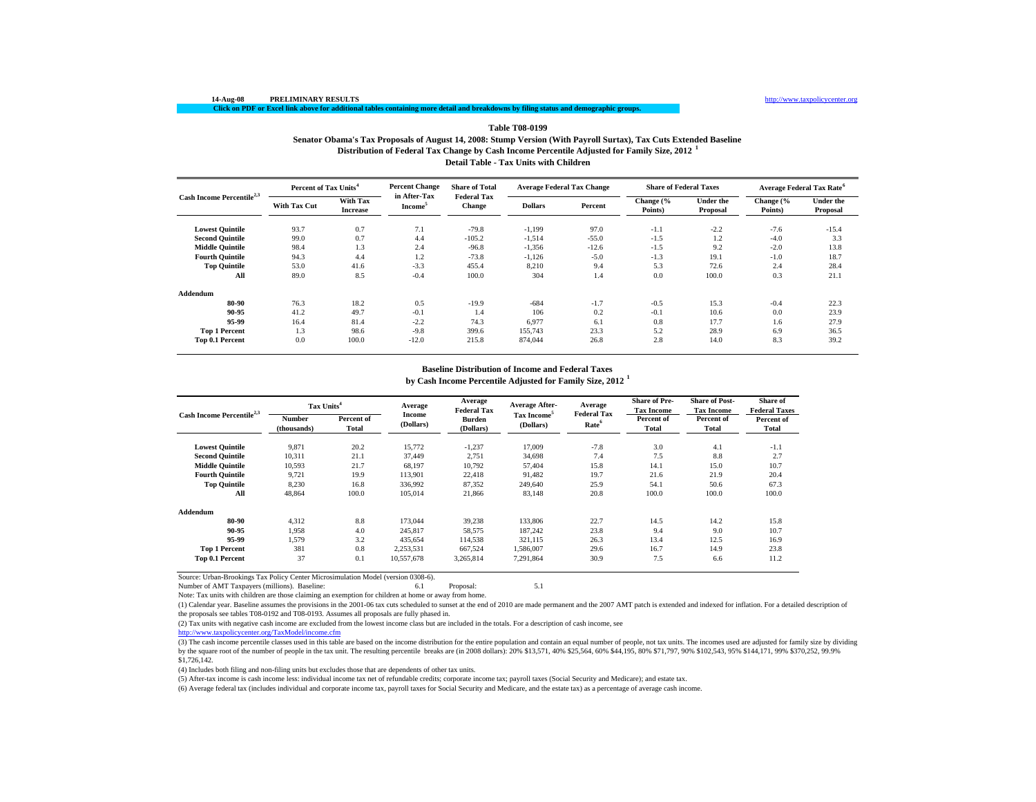## **Distribution of Federal Tax Change by Cash Income Percentile Adjusted for Family Size, 2012 <sup>1</sup> Detail Table - Tax Units with Children Table T08-0199Senator Obama's Tax Proposals of August 14, 2008: Stump Version (With Payroll Surtax), Tax Cuts Extended Baseline**

| Cash Income Percentile <sup>2,3</sup> | Percent of Tax Units <sup>4</sup> |                                    | <b>Percent Change</b>               | <b>Share of Total</b>               | <b>Average Federal Tax Change</b> |         | <b>Share of Federal Taxes</b> |                              | Average Federal Tax Rate <sup>6</sup> |                              |
|---------------------------------------|-----------------------------------|------------------------------------|-------------------------------------|-------------------------------------|-----------------------------------|---------|-------------------------------|------------------------------|---------------------------------------|------------------------------|
|                                       | <b>With Tax Cut</b>               | <b>With Tax</b><br><b>Increase</b> | in After-Tax<br>Income <sup>5</sup> | <b>Federal Tax</b><br><b>Change</b> | <b>Dollars</b>                    | Percent | Change (%<br>Points)          | <b>Under the</b><br>Proposal | Change (%<br>Points)                  | <b>Under the</b><br>Proposal |
| <b>Lowest Quintile</b>                | 93.7                              | 0.7                                | 7.1                                 | $-79.8$                             | $-1,199$                          | 97.0    | $-1.1$                        | $-2.2$                       | $-7.6$                                | $-15.4$                      |
| <b>Second Quintile</b>                | 99.0                              | 0.7                                | 4.4                                 | $-105.2$                            | $-1,514$                          | $-55.0$ | $-1.5$                        | 1.2                          | $-4.0$                                | 3.3                          |
| <b>Middle Quintile</b>                | 98.4                              | 1.3                                | 2.4                                 | $-96.8$                             | $-1,356$                          | $-12.6$ | $-1.5$                        | 9.2                          | $-2.0$                                | 13.8                         |
| <b>Fourth Quintile</b>                | 94.3                              | 4.4                                | 1.2                                 | $-73.8$                             | $-1,126$                          | $-5.0$  | $-1.3$                        | 19.1                         | $-1.0$                                | 18.7                         |
| <b>Top Quintile</b>                   | 53.0                              | 41.6                               | $-3.3$                              | 455.4                               | 8,210                             | 9.4     | 5.3                           | 72.6                         | 2.4                                   | 28.4                         |
| All                                   | 89.0                              | 8.5                                | $-0.4$                              | 100.0                               | 304                               | 1.4     | 0.0                           | 100.0                        | 0.3                                   | 21.1                         |
| Addendum                              |                                   |                                    |                                     |                                     |                                   |         |                               |                              |                                       |                              |
| 80-90                                 | 76.3                              | 18.2                               | 0.5                                 | $-19.9$                             | $-684$                            | $-1.7$  | $-0.5$                        | 15.3                         | $-0.4$                                | 22.3                         |
| 90-95                                 | 41.2                              | 49.7                               | $-0.1$                              | 1.4                                 | 106                               | 0.2     | $-0.1$                        | 10.6                         | 0.0                                   | 23.9                         |
| 95-99                                 | 16.4                              | 81.4                               | $-2.2$                              | 74.3                                | 6.977                             | 6.1     | 0.8                           | 17.7                         | 1.6                                   | 27.9                         |
| <b>Top 1 Percent</b>                  | 1.3                               | 98.6                               | $-9.8$                              | 399.6                               | 155,743                           | 23.3    | 5.2                           | 28.9                         | 6.9                                   | 36.5                         |
| Top 0.1 Percent                       | 0.0                               | 100.0                              | $-12.0$                             | 215.8                               | 874,044                           | 26.8    | 2.8                           | 14.0                         | 8.3                                   | 39.2                         |

### **Baseline Distribution of Income and Federal Taxes**

**by Cash Income Percentile Adjusted for Family Size, 2012 <sup>1</sup>**

| Cash Income Percentile <sup>2,3</sup> | Tax Units <sup>4</sup> |                     | Average             | Average<br><b>Federal Tax</b> | Average After-                       | Average<br><b>Federal Tax</b> | <b>Share of Pre-</b><br><b>Tax Income</b> | <b>Share of Post-</b><br><b>Tax Income</b> | <b>Share of</b><br><b>Federal Taxes</b> |
|---------------------------------------|------------------------|---------------------|---------------------|-------------------------------|--------------------------------------|-------------------------------|-------------------------------------------|--------------------------------------------|-----------------------------------------|
|                                       | Number<br>(thousands)  | Percent of<br>Total | Income<br>(Dollars) | Burden<br>(Dollars)           | Tax Income <sup>5</sup><br>(Dollars) | Rate <sup>6</sup>             | Percent of<br><b>Total</b>                | Percent of<br>Total                        | Percent of<br>Total                     |
| <b>Lowest Quintile</b>                | 9,871                  | 20.2                | 15,772              | $-1,237$                      | 17.009                               | $-7.8$                        | 3.0                                       | 4.1                                        | $-1.1$                                  |
| <b>Second Quintile</b>                | 10.311                 | 21.1                | 37.449              | 2,751                         | 34.698                               | 7.4                           | 7.5                                       | 8.8                                        | 2.7                                     |
| <b>Middle Quintile</b>                | 10,593                 | 21.7                | 68,197              | 10,792                        | 57,404                               | 15.8                          | 14.1                                      | 15.0                                       | 10.7                                    |
| <b>Fourth Ouintile</b>                | 9,721                  | 19.9                | 113,901             | 22,418                        | 91,482                               | 19.7                          | 21.6                                      | 21.9                                       | 20.4                                    |
| <b>Top Quintile</b>                   | 8,230                  | 16.8                | 336,992             | 87,352                        | 249,640                              | 25.9                          | 54.1                                      | 50.6                                       | 67.3                                    |
| All                                   | 48.864                 | 100.0               | 105.014             | 21,866                        | 83,148                               | 20.8                          | 100.0                                     | 100.0                                      | 100.0                                   |
| Addendum                              |                        |                     |                     |                               |                                      |                               |                                           |                                            |                                         |
| 80-90                                 | 4.312                  | 8.8                 | 173,044             | 39,238                        | 133,806                              | 22.7                          | 14.5                                      | 14.2                                       | 15.8                                    |
| 90-95                                 | 1.958                  | 4.0                 | 245,817             | 58,575                        | 187.242                              | 23.8                          | 9.4                                       | 9.0                                        | 10.7                                    |
| 95-99                                 | 1,579                  | 3.2                 | 435,654             | 114,538                       | 321,115                              | 26.3                          | 13.4                                      | 12.5                                       | 16.9                                    |
| <b>Top 1 Percent</b>                  | 381                    | 0.8                 | 2,253,531           | 667,524                       | 1,586,007                            | 29.6                          | 16.7                                      | 14.9                                       | 23.8                                    |
| Top 0.1 Percent                       | 37                     | 0.1                 | 10,557,678          | 3.265.814                     | 7.291.864                            | 30.9                          | 7.5                                       | 6.6                                        | 11.2                                    |

Source: Urban-Brookings Tax Policy Center Microsimulation Model (version 0308-6).

Number of AMT Taxpayers (millions). Baseline: 6.1 Proposal: 5.1

Note: Tax units with children are those claiming an exemption for children at home or away from home.

(1) Calendar year. Baseline assumes the provisions in the 2001-06 tax cuts scheduled to sunset at the end of 2010 are made permanent and the 2007 AMT patch is extended and indexed for inflation. For a detailed description of the proposals see tables T08-0192 and T08-0193. Assumes all proposals are fully phased in.

 $(2)$  Tax units with negative cash income are excluded from the lowest income class but are included in the totals. For a description of cash income, see

http://www.taxpolicycenter.org/TaxModel/income.cfm

(3) The cash income percentile classes used in this table are based on the income distribution for the entire population and contain an equal number of people, not tax units. The incomes used are adjusted for family size b by the square root of the number of people in the tax unit. The resulting percentile breaks are (in 2008 dollars): 20% \$13,571, 40% \$25,564, 60% \$44,195, 80% \$71,797, 90% \$102,543, 95% \$144,171, 99% \$370,252, 99.9%  $$1,726,142.$ 

(4) Includes both filing and non-filing units but excludes those that are dependents of other tax units.

(5) After-tax income is cash income less: individual income tax net of refundable credits; corporate income tax; payroll taxes (Social Security and Medicare); and estate tax.